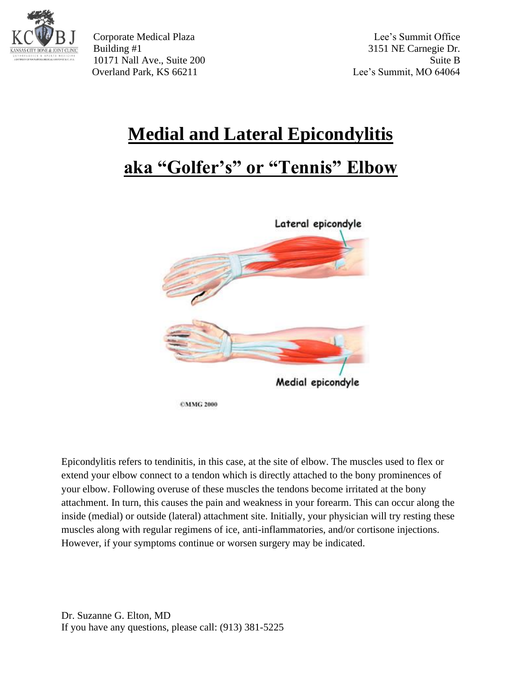

Corporate Medical Plaza Lee's Summit Office Building #1 3151 NE Carnegie Dr. 10171 Nall Ave., Suite 200 Suite B Overland Park, KS 66211 Lee's Summit, MO 64064

# **Medial and Lateral Epicondylitis**

## **aka "Golfer's" or "Tennis" Elbow**



Epicondylitis refers to tendinitis, in this case, at the site of elbow. The muscles used to flex or extend your elbow connect to a tendon which is directly attached to the bony prominences of your elbow. Following overuse of these muscles the tendons become irritated at the bony attachment. In turn, this causes the pain and weakness in your forearm. This can occur along the inside (medial) or outside (lateral) attachment site. Initially, your physician will try resting these muscles along with regular regimens of ice, anti-inflammatories, and/or cortisone injections. However, if your symptoms continue or worsen surgery may be indicated.

Dr. Suzanne G. Elton, MD If you have any questions, please call: (913) 381-5225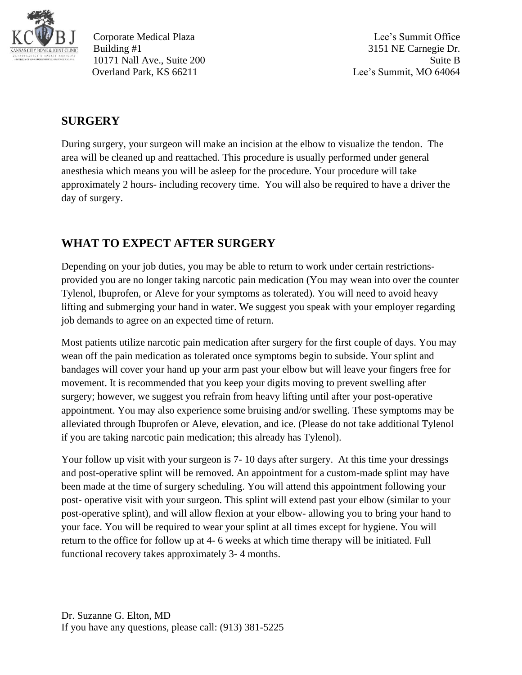

Corporate Medical Plaza Lee's Summit Office Building #1 3151 NE Carnegie Dr. 10171 Nall Ave., Suite 200 Suite B Overland Park, KS 66211 Lee's Summit, MO 64064

#### **SURGERY**

During surgery, your surgeon will make an incision at the elbow to visualize the tendon. The area will be cleaned up and reattached. This procedure is usually performed under general anesthesia which means you will be asleep for the procedure. Your procedure will take approximately 2 hours- including recovery time. You will also be required to have a driver the day of surgery.

### **WHAT TO EXPECT AFTER SURGERY**

Depending on your job duties, you may be able to return to work under certain restrictionsprovided you are no longer taking narcotic pain medication (You may wean into over the counter Tylenol, Ibuprofen, or Aleve for your symptoms as tolerated). You will need to avoid heavy lifting and submerging your hand in water. We suggest you speak with your employer regarding job demands to agree on an expected time of return.

Most patients utilize narcotic pain medication after surgery for the first couple of days. You may wean off the pain medication as tolerated once symptoms begin to subside. Your splint and bandages will cover your hand up your arm past your elbow but will leave your fingers free for movement. It is recommended that you keep your digits moving to prevent swelling after surgery; however, we suggest you refrain from heavy lifting until after your post-operative appointment. You may also experience some bruising and/or swelling. These symptoms may be alleviated through Ibuprofen or Aleve, elevation, and ice. (Please do not take additional Tylenol if you are taking narcotic pain medication; this already has Tylenol).

Your follow up visit with your surgeon is 7-10 days after surgery. At this time your dressings and post-operative splint will be removed. An appointment for a custom-made splint may have been made at the time of surgery scheduling. You will attend this appointment following your post- operative visit with your surgeon. This splint will extend past your elbow (similar to your post-operative splint), and will allow flexion at your elbow- allowing you to bring your hand to your face. You will be required to wear your splint at all times except for hygiene. You will return to the office for follow up at 4- 6 weeks at which time therapy will be initiated. Full functional recovery takes approximately 3- 4 months.